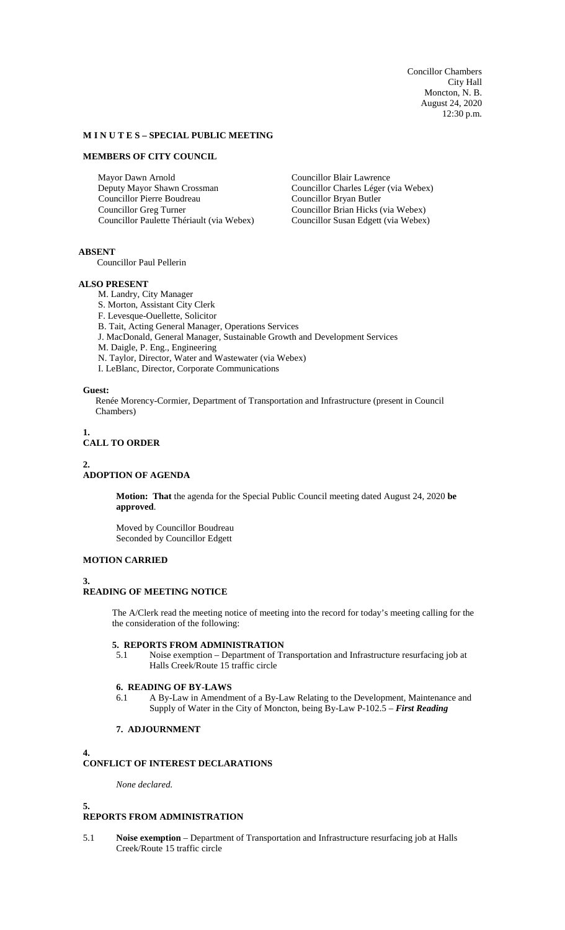Concillor Chambers City Hall Moncton, N. B. August 24, 2020 12:30 p.m.

### **M I N U T E S – SPECIAL PUBLIC MEETING**

## **MEMBERS OF CITY COUNCIL**

Mayor Dawn Arnold Deputy Mayor Shawn Crossman Councillor Pierre Boudreau Councillor Greg Turner Councillor Paulette Thériault (via Webex) Councillor Blair Lawrence Councillor Charles Léger (via Webex) Councillor Bryan Butler Councillor Brian Hicks (via Webex) Councillor Susan Edgett (via Webex)

**ABSENT**

Councillor Paul Pellerin

# **ALSO PRESENT**

- M. Landry, City Manager
- S. Morton, Assistant City Clerk
- F. Levesque-Ouellette, Solicitor
- B. Tait, Acting General Manager, Operations Services
- J. MacDonald, General Manager, Sustainable Growth and Development Services
- M. Daigle, P. Eng., Engineering
- N. Taylor, Director, Water and Wastewater (via Webex)
- I. LeBlanc, Director, Corporate Communications

#### **Guest:**

Renée Morency-Cormier, Department of Transportation and Infrastructure (present in Council Chambers)

**1.**

# **CALL TO ORDER**

### **2.**

#### **ADOPTION OF AGENDA**

**Motion: That** the agenda for the Special Public Council meeting dated August 24, 2020 **be approved**.

Moved by Councillor Boudreau Seconded by Councillor Edgett

#### **MOTION CARRIED**

### **3.**

# **READING OF MEETING NOTICE**

The A/Clerk read the meeting notice of meeting into the record for today's meeting calling for the the consideration of the following:

### **5. REPORTS FROM ADMINISTRATION**

5.1 Noise exemption – Department of Transportation and Infrastructure resurfacing job at Halls Creek/Route 15 traffic circle

### **6. READING OF BY-LAWS**

6.1 A By-Law in Amendment of a By-Law Relating to the Development, Maintenance and Supply of Water in the City of Moncton, being By-Law P-102.5 – *First Reading*

# **7. ADJOURNMENT**

#### **4.**

# **CONFLICT OF INTEREST DECLARATIONS**

*None declared.*

#### **5.**

## **REPORTS FROM ADMINISTRATION**

5.1 **Noise exemption** – Department of Transportation and Infrastructure resurfacing job at Halls Creek/Route 15 traffic circle